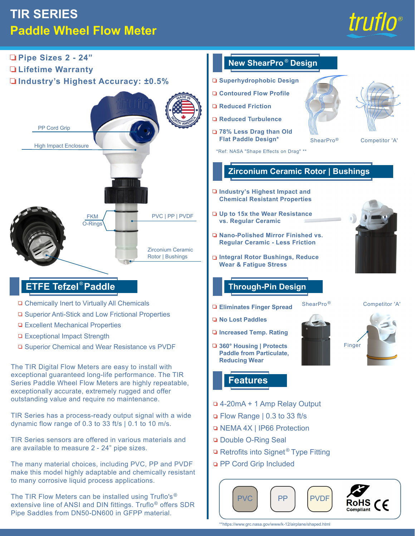# **TIR SERIES Paddle Wheel Flow Meter**





\*\*https://www.grc.nasa.gov/www/k-12/airplane/shaped.html